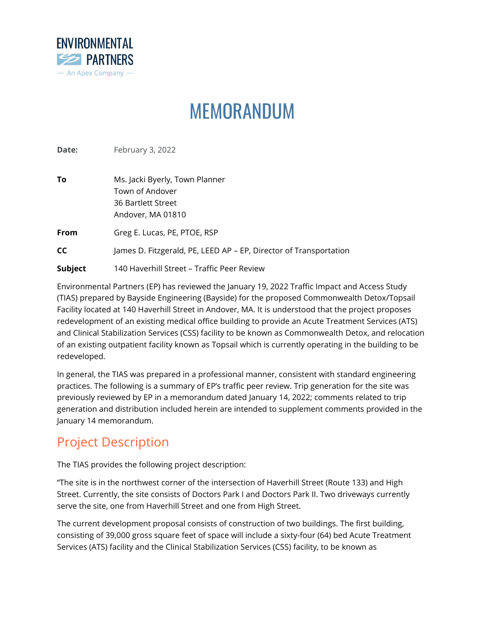

# MEMORANDUM

**Date: February 3, 2022** 

| To      | Ms. Jacki Byerly, Town Planner<br>Town of Andover<br>36 Bartlett Street<br>Andover, MA 01810 |
|---------|----------------------------------------------------------------------------------------------|
| From    | Greg E. Lucas, PE, PTOE, RSP                                                                 |
| СC      | James D. Fitzgerald, PE, LEED AP - EP, Director of Transportation                            |
| Subject | 140 Haverhill Street - Traffic Peer Review                                                   |

Environmental Partners (EP) has reviewed the January 19, 2022 Traffic Impact and Access Study (TIAS) prepared by Bayside Engineering (Bayside) for the proposed Commonwealth Detox/Topsail Facility located at 140 Haverhill Street in Andover, MA. It is understood that the project proposes redevelopment of an existing medical office building to provide an Acute Treatment Services (ATS) and Clinical Stabilization Services (CSS) facility to be known as Commonwealth Detox, and relocation of an existing outpatient facility known as Topsail which is currently operating in the building to be redeveloped.

In general, the TIAS was prepared in a professional manner, consistent with standard engineering practices. The following is a summary of EP's traffic peer review. Trip generation for the site was previously reviewed by EP in a memorandum dated January 14, 2022; comments related to trip generation and distribution included herein are intended to supplement comments provided in the January 14 memorandum.

### Project Description

The TIAS provides the following project description:

"The site is in the northwest corner of the intersection of Haverhill Street (Route 133) and High Street. Currently, the site consists of Doctors Park I and Doctors Park II. Two driveways currently serve the site, one from Haverhill Street and one from High Street.

The current development proposal consists of construction of two buildings. The first building, consisting of 39,000 gross square feet of space will include a sixty-four (64) bed Acute Treatment Services (ATS) facility and the Clinical Stabilization Services (CSS) facility, to be known as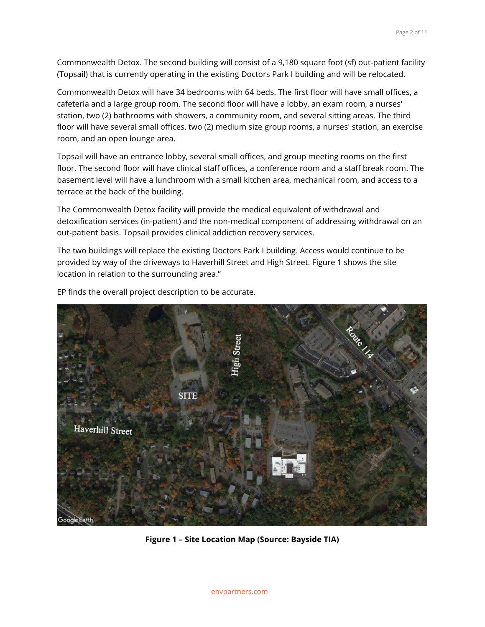Commonwealth Detox. The second building will consist of a 9,180 square foot (sf) out-patient facility (Topsail) that is currently operating in the existing Doctors Park I building and will be relocated.

Commonwealth Detox will have 34 bedrooms with 64 beds. The first floor will have small offices, a cafeteria and a large group room. The second floor will have a lobby, an exam room, a nurses' station, two (2) bathrooms with showers, a community room, and several sitting areas. The third floor will have several small offices, two (2) medium size group rooms, a nurses' station, an exercise room, and an open lounge area.

Topsail will have an entrance lobby, several small offices, and group meeting rooms on the first floor. The second floor will have clinical staff offices, a conference room and a staff break room. The basement level will have a lunchroom with a small kitchen area, mechanical room, and access to a terrace at the back of the building.

The Commonwealth Detox facility will provide the medical equivalent of withdrawal and detoxification services (in-patient) and the non-medical component of addressing withdrawal on an out-patient basis. Topsail provides clinical addiction recovery services.

The two buildings will replace the existing Doctors Park I building. Access would continue to be provided by way of the driveways to Haverhill Street and High Street. Figure 1 shows the site location in relation to the surrounding area."



EP finds the overall project description to be accurate.

**Figure 1 – Site Location Map (Source: Bayside TIA)**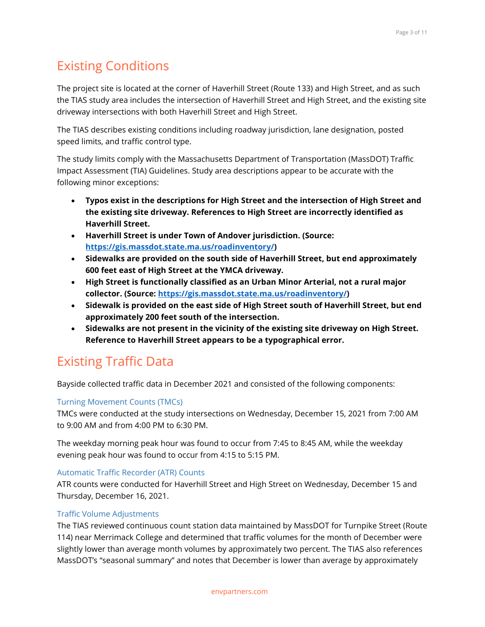# Existing Conditions

The project site is located at the corner of Haverhill Street (Route 133) and High Street, and as such the TIAS study area includes the intersection of Haverhill Street and High Street, and the existing site driveway intersections with both Haverhill Street and High Street.

The TIAS describes existing conditions including roadway jurisdiction, lane designation, posted speed limits, and traffic control type.

The study limits comply with the Massachusetts Department of Transportation (MassDOT) Traffic Impact Assessment (TIA) Guidelines. Study area descriptions appear to be accurate with the following minor exceptions:

- **Typos exist in the descriptions for High Street and the intersection of High Street and the existing site driveway. References to High Street are incorrectly identified as Haverhill Street.**
- **Haverhill Street is under Town of Andover jurisdiction. (Source: [https://gis.massdot.state.ma.us/roadinventory/\)](https://gis.massdot.state.ma.us/roadinventory/)**
- **Sidewalks are provided on the south side of Haverhill Street, but end approximately 600 feet east of High Street at the YMCA driveway.**
- **High Street is functionally classified as an Urban Minor Arterial, not a rural major collector. (Source: [https://gis.massdot.state.ma.us/roadinventory/\)](https://gis.massdot.state.ma.us/roadinventory/)**
- **Sidewalk is provided on the east side of High Street south of Haverhill Street, but end approximately 200 feet south of the intersection.**
- **Sidewalks are not present in the vicinity of the existing site driveway on High Street. Reference to Haverhill Street appears to be a typographical error.**

# Existing Traffic Data

Bayside collected traffic data in December 2021 and consisted of the following components:

#### Turning Movement Counts (TMCs)

TMCs were conducted at the study intersections on Wednesday, December 15, 2021 from 7:00 AM to 9:00 AM and from 4:00 PM to 6:30 PM.

The weekday morning peak hour was found to occur from 7:45 to 8:45 AM, while the weekday evening peak hour was found to occur from 4:15 to 5:15 PM.

#### Automatic Traffic Recorder (ATR) Counts

ATR counts were conducted for Haverhill Street and High Street on Wednesday, December 15 and Thursday, December 16, 2021.

#### Traffic Volume Adjustments

The TIAS reviewed continuous count station data maintained by MassDOT for Turnpike Street (Route 114) near Merrimack College and determined that traffic volumes for the month of December were slightly lower than average month volumes by approximately two percent. The TIAS also references MassDOT's "seasonal summary" and notes that December is lower than average by approximately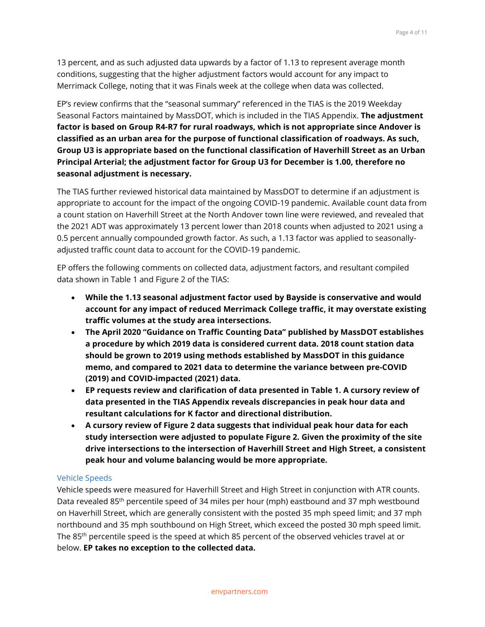13 percent, and as such adjusted data upwards by a factor of 1.13 to represent average month conditions, suggesting that the higher adjustment factors would account for any impact to Merrimack College, noting that it was Finals week at the college when data was collected.

EP's review confirms that the "seasonal summary" referenced in the TIAS is the 2019 Weekday Seasonal Factors maintained by MassDOT, which is included in the TIAS Appendix. **The adjustment factor is based on Group R4-R7 for rural roadways, which is not appropriate since Andover is classified as an urban area for the purpose of functional classification of roadways. As such, Group U3 is appropriate based on the functional classification of Haverhill Street as an Urban Principal Arterial; the adjustment factor for Group U3 for December is 1.00, therefore no seasonal adjustment is necessary.**

The TIAS further reviewed historical data maintained by MassDOT to determine if an adjustment is appropriate to account for the impact of the ongoing COVID-19 pandemic. Available count data from a count station on Haverhill Street at the North Andover town line were reviewed, and revealed that the 2021 ADT was approximately 13 percent lower than 2018 counts when adjusted to 2021 using a 0.5 percent annually compounded growth factor. As such, a 1.13 factor was applied to seasonallyadjusted traffic count data to account for the COVID-19 pandemic.

EP offers the following comments on collected data, adjustment factors, and resultant compiled data shown in Table 1 and Figure 2 of the TIAS:

- **While the 1.13 seasonal adjustment factor used by Bayside is conservative and would account for any impact of reduced Merrimack College traffic, it may overstate existing traffic volumes at the study area intersections.**
- **The April 2020 "Guidance on Traffic Counting Data" published by MassDOT establishes a procedure by which 2019 data is considered current data. 2018 count station data should be grown to 2019 using methods established by MassDOT in this guidance memo, and compared to 2021 data to determine the variance between pre-COVID (2019) and COVID-impacted (2021) data.**
- **EP requests review and clarification of data presented in Table 1. A cursory review of data presented in the TIAS Appendix reveals discrepancies in peak hour data and resultant calculations for K factor and directional distribution.**
- **A cursory review of Figure 2 data suggests that individual peak hour data for each study intersection were adjusted to populate Figure 2. Given the proximity of the site drive intersections to the intersection of Haverhill Street and High Street, a consistent peak hour and volume balancing would be more appropriate.**

#### Vehicle Speeds

Vehicle speeds were measured for Haverhill Street and High Street in conjunction with ATR counts. Data revealed 85<sup>th</sup> percentile speed of 34 miles per hour (mph) eastbound and 37 mph westbound on Haverhill Street, which are generally consistent with the posted 35 mph speed limit; and 37 mph northbound and 35 mph southbound on High Street, which exceed the posted 30 mph speed limit. The 85<sup>th</sup> percentile speed is the speed at which 85 percent of the observed vehicles travel at or below. **EP takes no exception to the collected data.**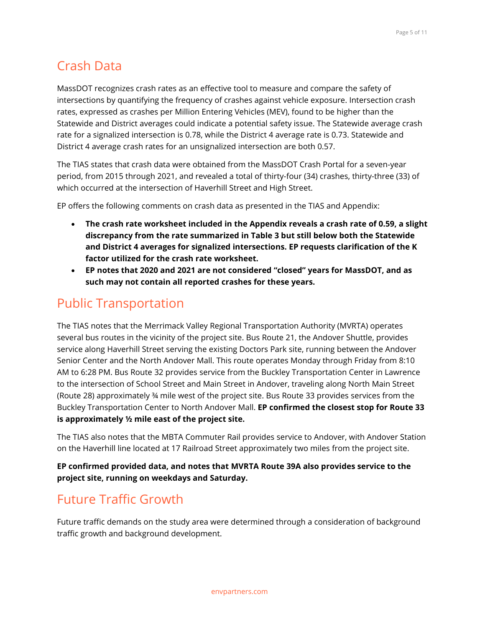### Crash Data

MassDOT recognizes crash rates as an effective tool to measure and compare the safety of intersections by quantifying the frequency of crashes against vehicle exposure. Intersection crash rates, expressed as crashes per Million Entering Vehicles (MEV), found to be higher than the Statewide and District averages could indicate a potential safety issue. The Statewide average crash rate for a signalized intersection is 0.78, while the District 4 average rate is 0.73. Statewide and District 4 average crash rates for an unsignalized intersection are both 0.57.

The TIAS states that crash data were obtained from the MassDOT Crash Portal for a seven-year period, from 2015 through 2021, and revealed a total of thirty-four (34) crashes, thirty-three (33) of which occurred at the intersection of Haverhill Street and High Street.

EP offers the following comments on crash data as presented in the TIAS and Appendix:

- **The crash rate worksheet included in the Appendix reveals a crash rate of 0.59, a slight discrepancy from the rate summarized in Table 3 but still below both the Statewide and District 4 averages for signalized intersections. EP requests clarification of the K factor utilized for the crash rate worksheet.**
- **EP notes that 2020 and 2021 are not considered "closed" years for MassDOT, and as such may not contain all reported crashes for these years.**

### Public Transportation

The TIAS notes that the Merrimack Valley Regional Transportation Authority (MVRTA) operates several bus routes in the vicinity of the project site. Bus Route 21, the Andover Shuttle, provides service along Haverhill Street serving the existing Doctors Park site, running between the Andover Senior Center and the North Andover Mall. This route operates Monday through Friday from 8:10 AM to 6:28 PM. Bus Route 32 provides service from the Buckley Transportation Center in Lawrence to the intersection of School Street and Main Street in Andover, traveling along North Main Street (Route 28) approximately ¾ mile west of the project site. Bus Route 33 provides services from the Buckley Transportation Center to North Andover Mall. **EP confirmed the closest stop for Route 33 is approximately ½ mile east of the project site.**

The TIAS also notes that the MBTA Commuter Rail provides service to Andover, with Andover Station on the Haverhill line located at 17 Railroad Street approximately two miles from the project site.

**EP confirmed provided data, and notes that MVRTA Route 39A also provides service to the project site, running on weekdays and Saturday.**

# Future Traffic Growth

Future traffic demands on the study area were determined through a consideration of background traffic growth and background development.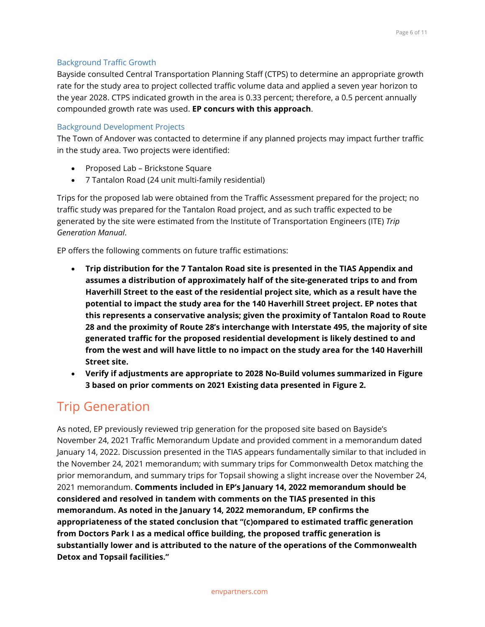#### Background Traffic Growth

Bayside consulted Central Transportation Planning Staff (CTPS) to determine an appropriate growth rate for the study area to project collected traffic volume data and applied a seven year horizon to the year 2028. CTPS indicated growth in the area is 0.33 percent; therefore, a 0.5 percent annually compounded growth rate was used. **EP concurs with this approach**.

#### Background Development Projects

The Town of Andover was contacted to determine if any planned projects may impact further traffic in the study area. Two projects were identified:

- Proposed Lab Brickstone Square
- 7 Tantalon Road (24 unit multi-family residential)

Trips for the proposed lab were obtained from the Traffic Assessment prepared for the project; no traffic study was prepared for the Tantalon Road project, and as such traffic expected to be generated by the site were estimated from the Institute of Transportation Engineers (ITE) *Trip Generation Manual*.

EP offers the following comments on future traffic estimations:

- **Trip distribution for the 7 Tantalon Road site is presented in the TIAS Appendix and assumes a distribution of approximately half of the site-generated trips to and from Haverhill Street to the east of the residential project site, which as a result have the potential to impact the study area for the 140 Haverhill Street project. EP notes that this represents a conservative analysis; given the proximity of Tantalon Road to Route 28 and the proximity of Route 28's interchange with Interstate 495, the majority of site generated traffic for the proposed residential development is likely destined to and from the west and will have little to no impact on the study area for the 140 Haverhill Street site.**
- **Verify if adjustments are appropriate to 2028 No-Build volumes summarized in Figure 3 based on prior comments on 2021 Existing data presented in Figure 2.**

### Trip Generation

As noted, EP previously reviewed trip generation for the proposed site based on Bayside's November 24, 2021 Traffic Memorandum Update and provided comment in a memorandum dated January 14, 2022. Discussion presented in the TIAS appears fundamentally similar to that included in the November 24, 2021 memorandum; with summary trips for Commonwealth Detox matching the prior memorandum, and summary trips for Topsail showing a slight increase over the November 24, 2021 memorandum. **Comments included in EP's January 14, 2022 memorandum should be considered and resolved in tandem with comments on the TIAS presented in this memorandum. As noted in the January 14, 2022 memorandum, EP confirms the appropriateness of the stated conclusion that "(c)ompared to estimated traffic generation from Doctors Park I as a medical office building, the proposed traffic generation is substantially lower and is attributed to the nature of the operations of the Commonwealth Detox and Topsail facilities."**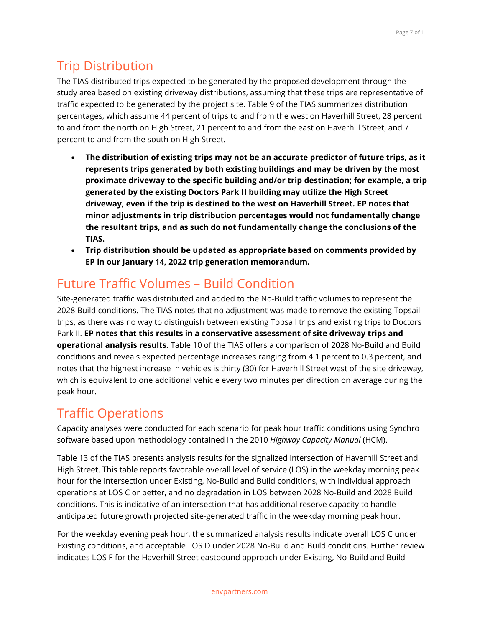# Trip Distribution

The TIAS distributed trips expected to be generated by the proposed development through the study area based on existing driveway distributions, assuming that these trips are representative of traffic expected to be generated by the project site. Table 9 of the TIAS summarizes distribution percentages, which assume 44 percent of trips to and from the west on Haverhill Street, 28 percent to and from the north on High Street, 21 percent to and from the east on Haverhill Street, and 7 percent to and from the south on High Street.

- **The distribution of existing trips may not be an accurate predictor of future trips, as it represents trips generated by both existing buildings and may be driven by the most proximate driveway to the specific building and/or trip destination; for example, a trip generated by the existing Doctors Park II building may utilize the High Street driveway, even if the trip is destined to the west on Haverhill Street. EP notes that minor adjustments in trip distribution percentages would not fundamentally change the resultant trips, and as such do not fundamentally change the conclusions of the TIAS.**
- **Trip distribution should be updated as appropriate based on comments provided by EP in our January 14, 2022 trip generation memorandum.**

# Future Traffic Volumes – Build Condition

Site-generated traffic was distributed and added to the No-Build traffic volumes to represent the 2028 Build conditions. The TIAS notes that no adjustment was made to remove the existing Topsail trips, as there was no way to distinguish between existing Topsail trips and existing trips to Doctors Park II. **EP notes that this results in a conservative assessment of site driveway trips and operational analysis results.** Table 10 of the TIAS offers a comparison of 2028 No-Build and Build conditions and reveals expected percentage increases ranging from 4.1 percent to 0.3 percent, and notes that the highest increase in vehicles is thirty (30) for Haverhill Street west of the site driveway, which is equivalent to one additional vehicle every two minutes per direction on average during the peak hour.

# Traffic Operations

Capacity analyses were conducted for each scenario for peak hour traffic conditions using Synchro software based upon methodology contained in the 2010 *Highway Capacity Manual* (HCM).

Table 13 of the TIAS presents analysis results for the signalized intersection of Haverhill Street and High Street. This table reports favorable overall level of service (LOS) in the weekday morning peak hour for the intersection under Existing, No-Build and Build conditions, with individual approach operations at LOS C or better, and no degradation in LOS between 2028 No-Build and 2028 Build conditions. This is indicative of an intersection that has additional reserve capacity to handle anticipated future growth projected site-generated traffic in the weekday morning peak hour.

For the weekday evening peak hour, the summarized analysis results indicate overall LOS C under Existing conditions, and acceptable LOS D under 2028 No-Build and Build conditions. Further review indicates LOS F for the Haverhill Street eastbound approach under Existing, No-Build and Build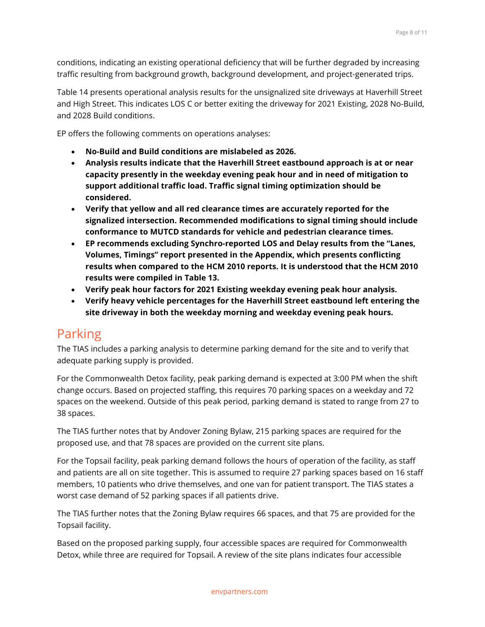conditions, indicating an existing operational deficiency that will be further degraded by increasing traffic resulting from background growth, background development, and project-generated trips.

Table 14 presents operational analysis results for the unsignalized site driveways at Haverhill Street and High Street. This indicates LOS C or better exiting the driveway for 2021 Existing, 2028 No-Build, and 2028 Build conditions.

EP offers the following comments on operations analyses:

- **No-Build and Build conditions are mislabeled as 2026.**
- **Analysis results indicate that the Haverhill Street eastbound approach is at or near capacity presently in the weekday evening peak hour and in need of mitigation to support additional traffic load. Traffic signal timing optimization should be considered.**
- **Verify that yellow and all red clearance times are accurately reported for the signalized intersection. Recommended modifications to signal timing should include conformance to MUTCD standards for vehicle and pedestrian clearance times.**
- **EP recommends excluding Synchro-reported LOS and Delay results from the "Lanes, Volumes, Timings" report presented in the Appendix, which presents conflicting results when compared to the HCM 2010 reports. It is understood that the HCM 2010 results were compiled in Table 13.**
- **Verify peak hour factors for 2021 Existing weekday evening peak hour analysis.**
- **Verify heavy vehicle percentages for the Haverhill Street eastbound left entering the site driveway in both the weekday morning and weekday evening peak hours.**

### Parking

The TIAS includes a parking analysis to determine parking demand for the site and to verify that adequate parking supply is provided.

For the Commonwealth Detox facility, peak parking demand is expected at 3:00 PM when the shift change occurs. Based on projected staffing, this requires 70 parking spaces on a weekday and 72 spaces on the weekend. Outside of this peak period, parking demand is stated to range from 27 to 38 spaces.

The TIAS further notes that by Andover Zoning Bylaw, 215 parking spaces are required for the proposed use, and that 78 spaces are provided on the current site plans.

For the Topsail facility, peak parking demand follows the hours of operation of the facility, as staff and patients are all on site together. This is assumed to require 27 parking spaces based on 16 staff members, 10 patients who drive themselves, and one van for patient transport. The TIAS states a worst case demand of 52 parking spaces if all patients drive.

The TIAS further notes that the Zoning Bylaw requires 66 spaces, and that 75 are provided for the Topsail facility.

Based on the proposed parking supply, four accessible spaces are required for Commonwealth Detox, while three are required for Topsail. A review of the site plans indicates four accessible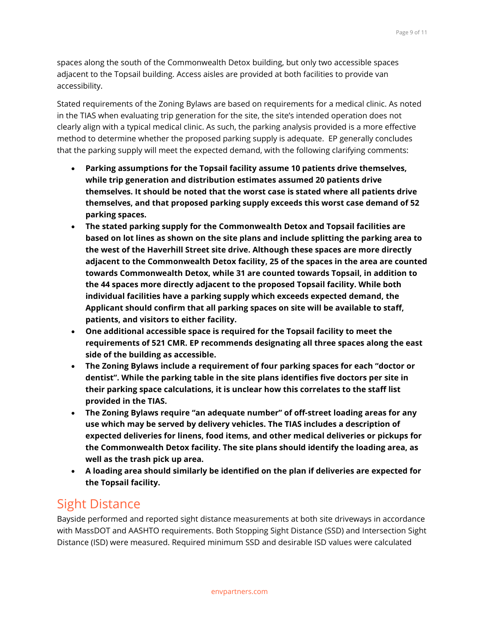spaces along the south of the Commonwealth Detox building, but only two accessible spaces adjacent to the Topsail building. Access aisles are provided at both facilities to provide van accessibility.

Stated requirements of the Zoning Bylaws are based on requirements for a medical clinic. As noted in the TIAS when evaluating trip generation for the site, the site's intended operation does not clearly align with a typical medical clinic. As such, the parking analysis provided is a more effective method to determine whether the proposed parking supply is adequate. EP generally concludes that the parking supply will meet the expected demand, with the following clarifying comments:

- **Parking assumptions for the Topsail facility assume 10 patients drive themselves, while trip generation and distribution estimates assumed 20 patients drive themselves. It should be noted that the worst case is stated where all patients drive themselves, and that proposed parking supply exceeds this worst case demand of 52 parking spaces.**
- **The stated parking supply for the Commonwealth Detox and Topsail facilities are based on lot lines as shown on the site plans and include splitting the parking area to the west of the Haverhill Street site drive. Although these spaces are more directly adjacent to the Commonwealth Detox facility, 25 of the spaces in the area are counted towards Commonwealth Detox, while 31 are counted towards Topsail, in addition to the 44 spaces more directly adjacent to the proposed Topsail facility. While both individual facilities have a parking supply which exceeds expected demand, the Applicant should confirm that all parking spaces on site will be available to staff, patients, and visitors to either facility.**
- **One additional accessible space is required for the Topsail facility to meet the requirements of 521 CMR. EP recommends designating all three spaces along the east side of the building as accessible.**
- **The Zoning Bylaws include a requirement of four parking spaces for each "doctor or dentist". While the parking table in the site plans identifies five doctors per site in their parking space calculations, it is unclear how this correlates to the staff list provided in the TIAS.**
- **The Zoning Bylaws require "an adequate number" of off-street loading areas for any use which may be served by delivery vehicles. The TIAS includes a description of expected deliveries for linens, food items, and other medical deliveries or pickups for the Commonwealth Detox facility. The site plans should identify the loading area, as well as the trash pick up area.**
- **A loading area should similarly be identified on the plan if deliveries are expected for the Topsail facility.**

### Sight Distance

Bayside performed and reported sight distance measurements at both site driveways in accordance with MassDOT and AASHTO requirements. Both Stopping Sight Distance (SSD) and Intersection Sight Distance (ISD) were measured. Required minimum SSD and desirable ISD values were calculated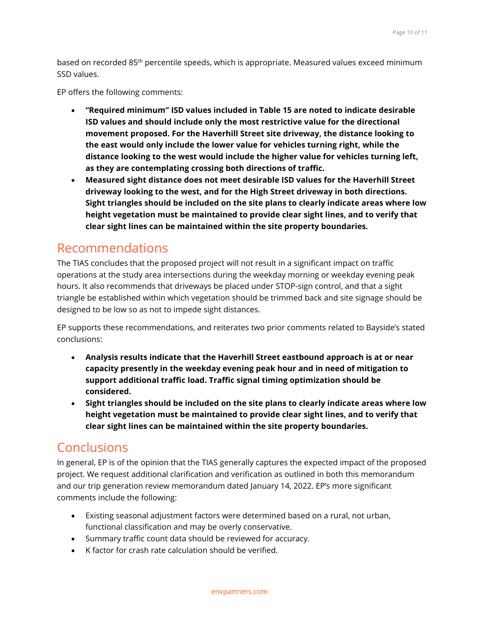based on recorded 85th percentile speeds, which is appropriate. Measured values exceed minimum SSD values.

EP offers the following comments:

- **"Required minimum" ISD values included in Table 15 are noted to indicate desirable ISD values and should include only the most restrictive value for the directional movement proposed. For the Haverhill Street site driveway, the distance looking to the east would only include the lower value for vehicles turning right, while the distance looking to the west would include the higher value for vehicles turning left, as they are contemplating crossing both directions of traffic.**
- **Measured sight distance does not meet desirable ISD values for the Haverhill Street driveway looking to the west, and for the High Street driveway in both directions. Sight triangles should be included on the site plans to clearly indicate areas where low height vegetation must be maintained to provide clear sight lines, and to verify that clear sight lines can be maintained within the site property boundaries.**

### Recommendations

The TIAS concludes that the proposed project will not result in a significant impact on traffic operations at the study area intersections during the weekday morning or weekday evening peak hours. It also recommends that driveways be placed under STOP-sign control, and that a sight triangle be established within which vegetation should be trimmed back and site signage should be designed to be low so as not to impede sight distances.

EP supports these recommendations, and reiterates two prior comments related to Bayside's stated conclusions:

- **Analysis results indicate that the Haverhill Street eastbound approach is at or near capacity presently in the weekday evening peak hour and in need of mitigation to support additional traffic load. Traffic signal timing optimization should be considered.**
- **Sight triangles should be included on the site plans to clearly indicate areas where low height vegetation must be maintained to provide clear sight lines, and to verify that clear sight lines can be maintained within the site property boundaries.**

### Conclusions

In general, EP is of the opinion that the TIAS generally captures the expected impact of the proposed project. We request additional clarification and verification as outlined in both this memorandum and our trip generation review memorandum dated January 14, 2022. EP's more significant comments include the following:

- Existing seasonal adjustment factors were determined based on a rural, not urban, functional classification and may be overly conservative.
- Summary traffic count data should be reviewed for accuracy.
- K factor for crash rate calculation should be verified.